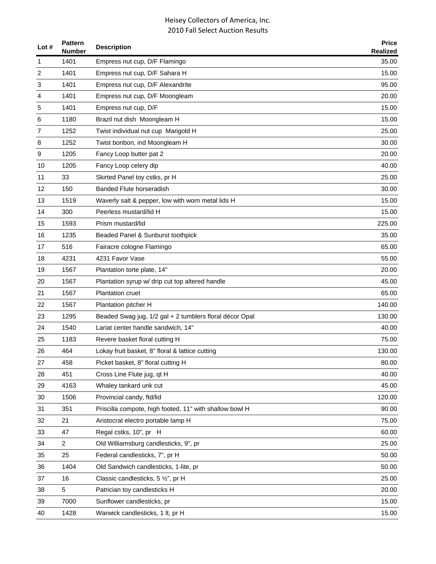| Lot $#$ | <b>Pattern</b><br><b>Number</b> | <b>Description</b>                                      | <b>Price</b><br><b>Realized</b> |
|---------|---------------------------------|---------------------------------------------------------|---------------------------------|
| 1       | 1401                            | Empress nut cup, D/F Flamingo                           | 35.00                           |
| 2       | 1401                            | Empress nut cup, D/F Sahara H                           | 15.00                           |
| 3       | 1401                            | Empress nut cup, D/F Alexandrite                        | 95.00                           |
| 4       | 1401                            | Empress nut cup, D/F Moongleam                          | 20.00                           |
| 5       | 1401                            | Empress nut cup, D/F                                    | 15.00                           |
| 6       | 1180                            | Brazil nut dish Moongleam H                             | 15.00                           |
| 7       | 1252                            | Twist individual nut cup Marigold H                     | 25.00                           |
| 8       | 1252                            | Twist bonbon, ind Moongleam H                           | 30.00                           |
| 9       | 1205                            | Fancy Loop butter pat 2                                 | 20.00                           |
| 10      | 1205                            | Fancy Loop celery dip                                   | 40.00                           |
| 11      | 33                              | Skirted Panel toy cstks, pr H                           | 25.00                           |
| 12      | 150                             | <b>Banded Flute horseradish</b>                         | 30.00                           |
| 13      | 1519                            | Waverly salt & pepper, low with worn metal lids H       | 15.00                           |
| 14      | 300                             | Peerless mustard/lid H                                  | 15.00                           |
| 15      | 1593                            | Prism mustard/lid                                       | 225.00                          |
| 16      | 1235                            | Beaded Panel & Sunburst toothpick                       | 35.00                           |
| 17      | 516                             | Fairacre cologne Flamingo                               | 65.00                           |
| 18      | 4231                            | 4231 Favor Vase                                         | 55.00                           |
| 19      | 1567                            | Plantation torte plate, 14"                             | 20.00                           |
| 20      | 1567                            | Plantation syrup w/ drip cut top altered handle         | 45.00                           |
| 21      | 1567                            | <b>Plantation cruet</b>                                 | 65.00                           |
| 22      | 1567                            | Plantation pitcher H                                    | 140.00                          |
| 23      | 1295                            | Beaded Swag jug, 1/2 gal + 2 tumblers floral décor Opal | 130.00                          |
| 24      | 1540                            | Lariat center handle sandwich, 14"                      | 40.00                           |
| 25      | 1183                            | Revere basket floral cutting H                          | 75.00                           |
| 26      | 464                             | Lokay fruit basket, 8" floral & lattice cutting         | 130.00                          |
| 27      | 458                             | Picket basket, 8" floral cutting H                      | 80.00                           |
| 28      | 451                             | Cross Line Flute jug, qt H                              | 40.00                           |
| 29      | 4163                            | Whaley tankard unk cut                                  | 45.00                           |
| 30      | 1506                            | Provincial candy, ftd/lid                               | 120.00                          |
| 31      | 351                             | Priscilla compote, high footed, 11" with shallow bowl H | 90.00                           |
| 32      | 21                              | Aristocrat electro portable lamp H                      | 75.00                           |
| 33      | 47                              | Regal cstks, 10", pr H                                  | 60.00                           |
| 34      | $\overline{a}$                  | Old Williamsburg candlesticks, 9", pr                   | 25.00                           |
| 35      | 25                              | Federal candlesticks, 7", pr H                          | 50.00                           |
| 36      | 1404                            | Old Sandwich candlesticks, 1-lite, pr                   | 50.00                           |
| 37      | 16                              | Classic candlesticks, 5 1/2", pr H                      | 25.00                           |
| 38      | 5                               | Patrician toy candlesticks H                            | 20.00                           |
| 39      | 7000                            | Sunflower candlesticks, pr                              | 15.00                           |
| 40      | 1428                            | Warwick candlesticks, 1 lt, pr H                        | 15.00                           |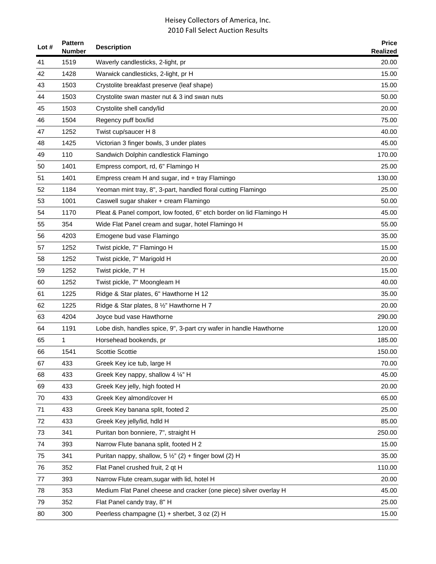| Lot $#$ | <b>Pattern</b><br>Number | <b>Description</b>                                                  | <b>Price</b><br><b>Realized</b> |
|---------|--------------------------|---------------------------------------------------------------------|---------------------------------|
| 41      | 1519                     | Waverly candlesticks, 2-light, pr                                   | 20.00                           |
| 42      | 1428                     | Warwick candlesticks, 2-light, pr H                                 | 15.00                           |
| 43      | 1503                     | Crystolite breakfast preserve (leaf shape)                          | 15.00                           |
| 44      | 1503                     | Crystolite swan master nut & 3 ind swan nuts                        | 50.00                           |
| 45      | 1503                     | Crystolite shell candy/lid                                          | 20.00                           |
| 46      | 1504                     | Regency puff box/lid                                                | 75.00                           |
| 47      | 1252                     | Twist cup/saucer H 8                                                | 40.00                           |
| 48      | 1425                     | Victorian 3 finger bowls, 3 under plates                            | 45.00                           |
| 49      | 110                      | Sandwich Dolphin candlestick Flamingo                               | 170.00                          |
| 50      | 1401                     | Empress comport, rd, 6" Flamingo H                                  | 25.00                           |
| 51      | 1401                     | Empress cream H and sugar, ind + tray Flamingo                      | 130.00                          |
| 52      | 1184                     | Yeoman mint tray, 8", 3-part, handled floral cutting Flamingo       | 25.00                           |
| 53      | 1001                     | Caswell sugar shaker + cream Flamingo                               | 50.00                           |
| 54      | 1170                     | Pleat & Panel comport, low footed, 6" etch border on lid Flamingo H | 45.00                           |
| 55      | 354                      | Wide Flat Panel cream and sugar, hotel Flamingo H                   | 55.00                           |
| 56      | 4203                     | Emogene bud vase Flamingo                                           | 35.00                           |
| 57      | 1252                     | Twist pickle, 7" Flamingo H                                         | 15.00                           |
| 58      | 1252                     | Twist pickle, 7" Marigold H                                         | 20.00                           |
| 59      | 1252                     | Twist pickle, 7" H                                                  | 15.00                           |
| 60      | 1252                     | Twist pickle, 7" Moongleam H                                        | 40.00                           |
| 61      | 1225                     | Ridge & Star plates, 6" Hawthorne H 12                              | 35.00                           |
| 62      | 1225                     | Ridge & Star plates, 8 1/2" Hawthorne H 7                           | 20.00                           |
| 63      | 4204                     | Joyce bud vase Hawthorne                                            | 290.00                          |
| 64      | 1191                     | Lobe dish, handles spice, 9", 3-part cry wafer in handle Hawthorne  | 120.00                          |
| 65      | 1                        | Horsehead bookends, pr                                              | 185.00                          |
| 66      | 1541                     | <b>Scottie Scottie</b>                                              | 150.00                          |
| 67      | 433                      | Greek Key ice tub, large H                                          | 70.00                           |
| 68      | 433                      | Greek Key nappy, shallow 4 1/4" H                                   | 45.00                           |
| 69      | 433                      | Greek Key jelly, high footed H                                      | 20.00                           |
| 70      | 433                      | Greek Key almond/cover H                                            | 65.00                           |
| 71      | 433                      | Greek Key banana split, footed 2                                    | 25.00                           |
| 72      | 433                      | Greek Key jelly/lid, hdld H                                         | 85.00                           |
| 73      | 341                      | Puritan bon bonniere, 7", straight H                                | 250.00                          |
| 74      | 393                      | Narrow Flute banana split, footed H 2                               | 15.00                           |
| 75      | 341                      | Puritan nappy, shallow, $5\frac{1}{2}$ " (2) + finger bowl (2) H    | 35.00                           |
| 76      | 352                      | Flat Panel crushed fruit, 2 qt H                                    | 110.00                          |
| 77      | 393                      | Narrow Flute cream, sugar with lid, hotel H                         | 20.00                           |
| 78      | 353                      | Medium Flat Panel cheese and cracker (one piece) silver overlay H   | 45.00                           |
| 79      | 352                      | Flat Panel candy tray, 8" H                                         | 25.00                           |
| 80      | 300                      | Peerless champagne (1) + sherbet, 3 oz (2) H                        | 15.00                           |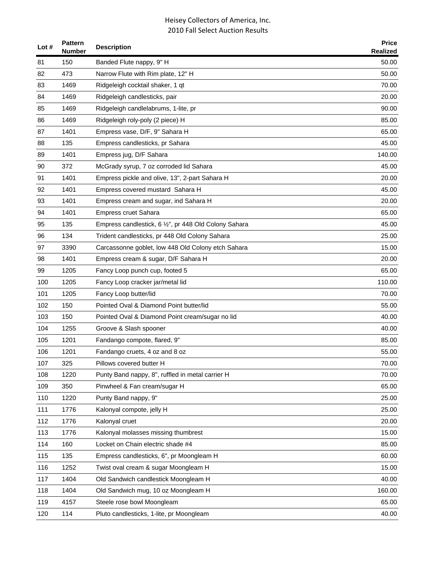| Lot $#$ | <b>Pattern</b><br><b>Number</b> | <b>Description</b>                                    | <b>Price</b><br><b>Realized</b> |
|---------|---------------------------------|-------------------------------------------------------|---------------------------------|
| 81      | 150                             | Banded Flute nappy, 9" H                              | 50.00                           |
| 82      | 473                             | Narrow Flute with Rim plate, 12" H                    | 50.00                           |
| 83      | 1469                            | Ridgeleigh cocktail shaker, 1 qt                      | 70.00                           |
| 84      | 1469                            | Ridgeleigh candlesticks, pair                         | 20.00                           |
| 85      | 1469                            | Ridgeleigh candlelabrums, 1-lite, pr                  | 90.00                           |
| 86      | 1469                            | Ridgeleigh roly-poly (2 piece) H                      | 85.00                           |
| 87      | 1401                            | Empress vase, D/F, 9" Sahara H                        | 65.00                           |
| 88      | 135                             | Empress candlesticks, pr Sahara                       | 45.00                           |
| 89      | 1401                            | Empress jug, D/F Sahara                               | 140.00                          |
| 90      | 372                             | McGrady syrup, 7 oz corroded lid Sahara               | 45.00                           |
| 91      | 1401                            | Empress pickle and olive, 13", 2-part Sahara H        | 20.00                           |
| 92      | 1401                            | Empress covered mustard Sahara H                      | 45.00                           |
| 93      | 1401                            | Empress cream and sugar, ind Sahara H                 | 20.00                           |
| 94      | 1401                            | <b>Empress cruet Sahara</b>                           | 65.00                           |
| 95      | 135                             | Empress candlestick, 6 1/2", pr 448 Old Colony Sahara | 45.00                           |
| 96      | 134                             | Trident candlesticks, pr 448 Old Colony Sahara        | 25.00                           |
| 97      | 3390                            | Carcassonne goblet, low 448 Old Colony etch Sahara    | 15.00                           |
| 98      | 1401                            | Empress cream & sugar, D/F Sahara H                   | 20.00                           |
| 99      | 1205                            | Fancy Loop punch cup, footed 5                        | 65.00                           |
| 100     | 1205                            | Fancy Loop cracker jar/metal lid                      | 110.00                          |
| 101     | 1205                            | Fancy Loop butter/lid                                 | 70.00                           |
| 102     | 150                             | Pointed Oval & Diamond Point butter/lid               | 55.00                           |
| 103     | 150                             | Pointed Oval & Diamond Point cream/sugar no lid       | 40.00                           |
| 104     | 1255                            | Groove & Slash spooner                                | 40.00                           |
| 105     | 1201                            | Fandango compote, flared, 9"                          | 85.00                           |
| 106     | 1201                            | Fandango cruets, 4 oz and 8 oz                        | 55.00                           |
| 107     | 325                             | Pillows covered butter H                              | 70.00                           |
| 108     | 1220                            | Punty Band nappy, 8", ruffled in metal carrier H      | 70.00                           |
| 109     | 350                             | Pinwheel & Fan cream/sugar H                          | 65.00                           |
| 110     | 1220                            | Punty Band nappy, 9"                                  | 25.00                           |
| 111     | 1776                            | Kalonyal compote, jelly H                             | 25.00                           |
| 112     | 1776                            | Kalonyal cruet                                        | 20.00                           |
| 113     | 1776                            | Kalonyal molasses missing thumbrest                   | 15.00                           |
| 114     | 160                             | Locket on Chain electric shade #4                     | 85.00                           |
| 115     | 135                             | Empress candlesticks, 6", pr Moongleam H              | 60.00                           |
| 116     | 1252                            | Twist oval cream & sugar Moongleam H                  | 15.00                           |
| 117     | 1404                            | Old Sandwich candlestick Moongleam H                  | 40.00                           |
| 118     | 1404                            | Old Sandwich mug, 10 oz Moongleam H                   | 160.00                          |
| 119     | 4157                            | Steele rose bowl Moongleam                            | 65.00                           |
| 120     | 114                             | Pluto candlesticks, 1-lite, pr Moongleam              | 40.00                           |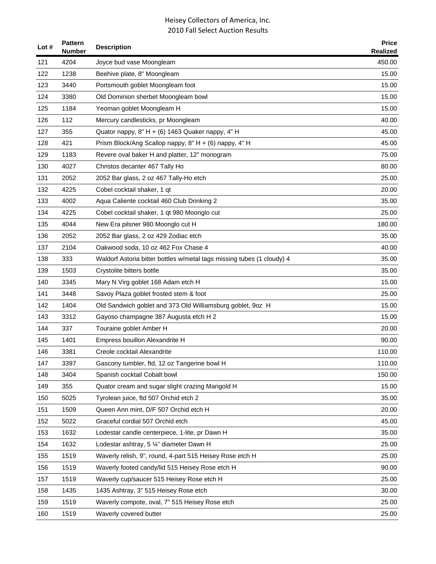| Lot $#$ | <b>Pattern</b><br><b>Number</b> | <b>Description</b>                                                     | <b>Price</b><br><b>Realized</b> |
|---------|---------------------------------|------------------------------------------------------------------------|---------------------------------|
| 121     | 4204                            | Joyce bud vase Moongleam                                               | 450.00                          |
| 122     | 1238                            | Beehive plate, 8" Moongleam                                            | 15.00                           |
| 123     | 3440                            | Portsmouth goblet Moongleam foot                                       | 15.00                           |
| 124     | 3380                            | Old Dominion sherbet Moongleam bowl                                    | 15.00                           |
| 125     | 1184                            | Yeoman goblet Moongleam H                                              | 15.00                           |
| 126     | 112                             | Mercury candlesticks, pr Moongleam                                     | 40.00                           |
| 127     | 355                             | Quator nappy, 8" H + (6) 1463 Quaker nappy, 4" H                       | 45.00                           |
| 128     | 421                             | Prism Block/Ang Scallop nappy, 8" H + (6) nappy, 4" H                  | 45.00                           |
| 129     | 1183                            | Revere oval baker H and platter, 12" monogram                          | 75.00                           |
| 130     | 4027                            | Christos decanter 467 Tally Ho                                         | 80.00                           |
| 131     | 2052                            | 2052 Bar glass, 2 oz 467 Tally-Ho etch                                 | 25.00                           |
| 132     | 4225                            | Cobel cocktail shaker, 1 qt                                            | 20.00                           |
| 133     | 4002                            | Aqua Caliente cocktail 460 Club Drinking 2                             | 35.00                           |
| 134     | 4225                            | Cobel cocktail shaker, 1 qt 980 Moonglo cut                            | 25.00                           |
| 135     | 4044                            | New Era pilsner 980 Moonglo cut H                                      | 180.00                          |
| 136     | 2052                            | 2052 Bar glass, 2 oz 429 Zodiac etch                                   | 35.00                           |
| 137     | 2104                            | Oakwood soda, 10 oz 462 Fox Chase 4                                    | 40.00                           |
| 138     | 333                             | Waldorf Astoria bitter bottles w/metal tags missing tubes (1 cloudy) 4 | 35.00                           |
| 139     | 1503                            | Crystolite bitters bottle                                              | 35.00                           |
| 140     | 3345                            | Mary N Virg goblet 168 Adam etch H                                     | 15.00                           |
| 141     | 3448                            | Savoy Plaza goblet frosted stem & foot                                 | 25.00                           |
| 142     | 1404                            | Old Sandwich goblet and 373 Old Williamsburg goblet, 9oz H             | 15.00                           |
| 143     | 3312                            | Gayoso champagne 387 Augusta etch H 2                                  | 15.00                           |
| 144     | 337                             | Touraine goblet Amber H                                                | 20.00                           |
| 145     | 1401                            | Empress bouillon Alexandrite H                                         | 90.00                           |
| 146     | 3381                            | Creole cocktail Alexandrite                                            | 110.00                          |
| 147     | 3397                            | Gascony tumbler, ftd, 12 oz Tangerine bowl H                           | 110.00                          |
| 148     | 3404                            | Spanish cocktail Cobalt bowl                                           | 150.00                          |
| 149     | 355                             | Quator cream and sugar slight crazing Marigold H                       | 15.00                           |
| 150     | 5025                            | Tyrolean juice, ftd 507 Orchid etch 2                                  | 35.00                           |
| 151     | 1509                            | Queen Ann mint, D/F 507 Orchid etch H                                  | 20.00                           |
| 152     | 5022                            | Graceful cordial 507 Orchid etch                                       | 45.00                           |
| 153     | 1632                            | Lodestar candle centerpiece, 1-lite, pr Dawn H                         | 35.00                           |
| 154     | 1632                            | Lodestar ashtray, 5 1/4" diameter Dawn H                               | 25.00                           |
| 155     | 1519                            | Waverly relish, 9", round, 4-part 515 Heisey Rose etch H               | 25.00                           |
| 156     | 1519                            | Waverly footed candy/lid 515 Heisey Rose etch H                        | 90.00                           |
| 157     | 1519                            | Waverly cup/saucer 515 Heisey Rose etch H                              | 25.00                           |
| 158     | 1435                            | 1435 Ashtray, 3" 515 Heisey Rose etch                                  | 30.00                           |
| 159     | 1519                            | Waverly compote, oval, 7" 515 Heisey Rose etch                         | 25.00                           |
| 160     | 1519                            | Waverly covered butter                                                 | 25.00                           |